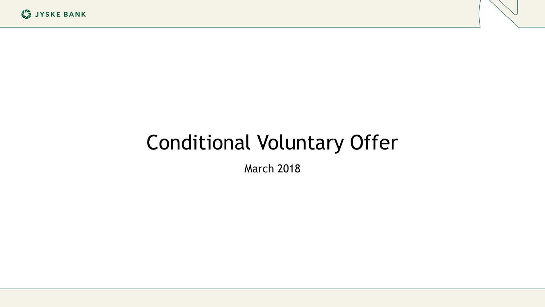# Conditional Voluntary Offer

March 2018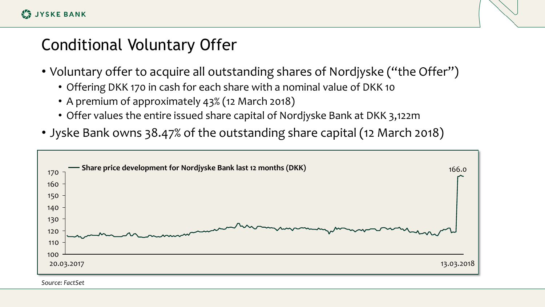#### Conditional Voluntary Offer

- Voluntary offer to acquire all outstanding shares of Nordjyske ("the Offer")
	- Offering DKK 170 in cash for each share with a nominal value of DKK 10
	- A premium of approximately 43% (12 March 2018)
	- Offer values the entire issued share capital of Nordjyske Bank at DKK 3,122m
- Jyske Bank owns 38.47% of the outstanding share capital (12 March 2018)

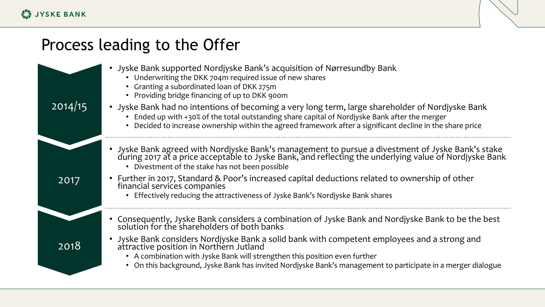#### Process leading to the Offer

| 2014/15 | • Jyske Bank supported Nordjyske Bank's acquisition of Nørresundby Bank<br>• Underwriting the DKK 704m required issue of new shares<br>• Granting a subordinated loan of DKK 275m<br>• Providing bridge financing of up to DKK 900m<br>• Jyske Bank had no intentions of becoming a very long term, large shareholder of Nordjyske Bank<br>Ended up with +30% of the total outstanding share capital of Nordjyske Bank after the merger<br>• Decided to increase ownership within the agreed framework after a significant decline in the share price |
|---------|-------------------------------------------------------------------------------------------------------------------------------------------------------------------------------------------------------------------------------------------------------------------------------------------------------------------------------------------------------------------------------------------------------------------------------------------------------------------------------------------------------------------------------------------------------|
| 2017    | • Jyske Bank agreed with Nordjyske Bank's management to pursue a divestment of Jyske Bank's stake<br>during 2017 at a price acceptable to Jyske Bank, and reflecting the underlying value of Nordjyske Bank<br>• Divestment of the stake has not been possible<br>• Further in 2017, Standard & Poor's increased capital deductions related to ownership of other<br>financial services companies<br>Effectively reducing the attractiveness of Jyske Bank's Nordjyske Bank shares                                                                    |
| 2018    | Consequently, Jyske Bank considers a combination of Jyske Bank and Nordjyske Bank to be the best<br>solution for the shareholders of both banks<br>Jyske Bank considers Nordjyske Bank a solid bank with competent employees and a strong and<br>attractive position in Northern Jutland<br>• A combination with Jyske Bank will strengthen this position even further<br>• On this background, Jyske Bank has invited Nordjyske Bank's management to participate in a merger dialogue                                                                |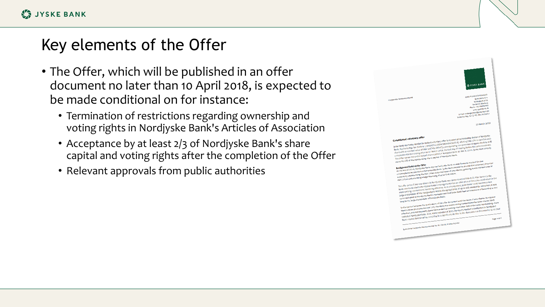#### Key elements of the Offer

- The Offer, which will be published in an offer document no later than 10 April 2018, is expected to be made conditional on for instance:
	- Termination of restrictions regarding ownership and voting rights in Nordjyske Bank's Articles of Association
	- Acceptance by at least 2/3 of Nordjyske Bank's share capital and voting rights after the completion of the Offer
	- Relevant approvals from public authorities

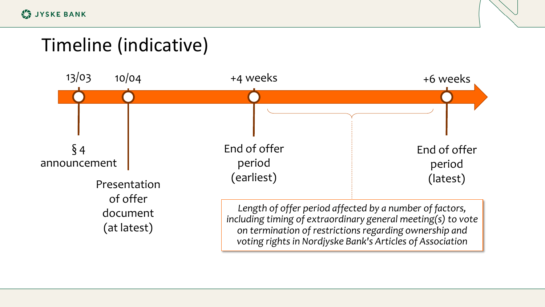**LE JYSKE BANK** 

### Timeline (indicative)

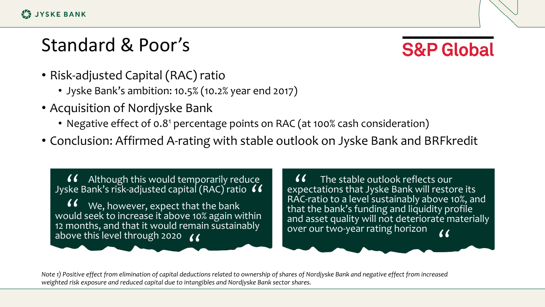## Standard & Poor's

**S&P Global** 

- Risk-adjusted Capital (RAC) ratio
	- Jyske Bank's ambition: 10.5% (10.2% year end 2017)
- Acquisition of Nordjyske Bank
	- Negative effect of 0.8<sup>1</sup> percentage points on RAC (at 100% cash consideration)
- Conclusion: Affirmed A-rating with stable outlook on Jyske Bank and BRFkredit

Although this would temporarily reduce Jyske Bank's risk-adjusted capital (RAC) ratio " We, however, expect that the bank  $\bigcup_{k=1}^{\infty} \bigcup_{k=1}^{\infty} V_k$  we, however, expect that the bank would seek to increase it above 10% again within 12 months, and that it would remain sustainably above this level through 2020 ( "

The stable outlook reflects our  $\bigcup_{n=0}^{\infty}$  ( The stable outlook reflects our<br>expectations that Jyske Bank will restore its<br>BAC ratio to a lovel sustainably above 10% are RAC-ratio to a level sustainably above 10%, and that the bank's funding and liquidity profile and asset quality will not deteriorate materially over our two-year rating horizon

*Note 1) Positive effect from elimination of capital deductions related to ownership of shares of Nordjyske Bank and negative effect from increased weighted risk exposure and reduced capital due to intangibles and Nordjyske Bank sector shares.*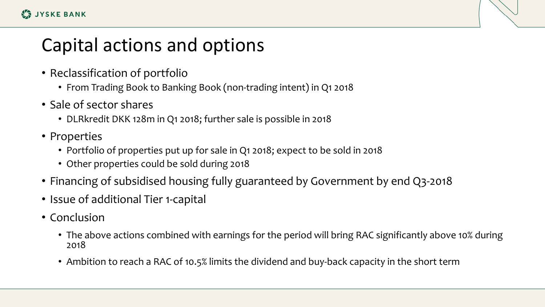## Capital actions and options

- Reclassification of portfolio
	- From Trading Book to Banking Book (non-trading intent) in Q1 2018
- Sale of sector shares
	- DLRkredit DKK 128m in Q1 2018; further sale is possible in 2018
- Properties
	- Portfolio of properties put up for sale in Q1 2018; expect to be sold in 2018
	- Other properties could be sold during 2018
- Financing of subsidised housing fully guaranteed by Government by end Q3-2018
- Issue of additional Tier 1-capital
- Conclusion
	- The above actions combined with earnings for the period will bring RAC significantly above 10% during 2018
	- Ambition to reach a RAC of 10.5% limits the dividend and buy-back capacity in the short term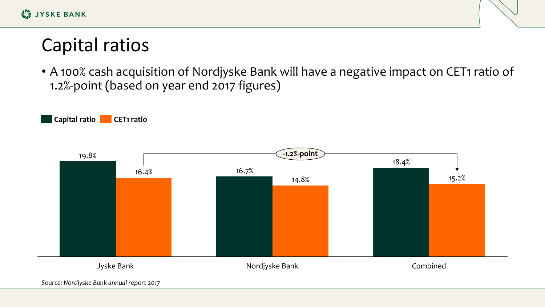## Capital ratios

• A 100% cash acquisition of Nordjyske Bank will have a negative impact on CET1 ratio of 1.2%-point (based on year end 2017 figures)

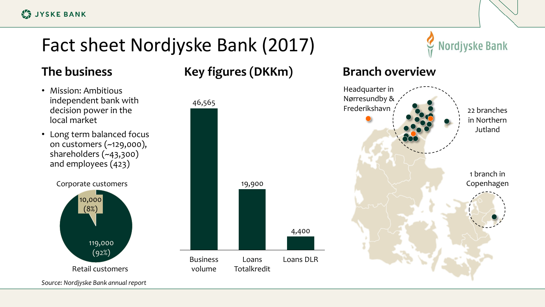# Fact sheet Nordjyske Bank (2017)

- Mission: Ambitious independent bank with decision power in the local market
- Long term balanced focus on customers (~129,000), shareholders (~43,300) and employees (423)



**The business The business Key figures (DKKm) Branch overview** 



**Nordjyske Bank**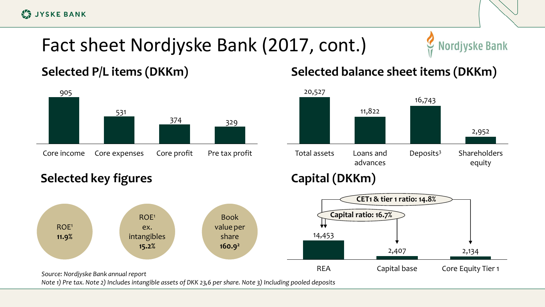**LE JYSKE BANK** 

# Fact sheet Nordjyske Bank (2017, cont.)



#### **Selected P/L items (DKKm)**



#### **Selected balance sheet items (DKKm)**



**Selected key figures**





*Note 1) Pre tax. Note 2) Includes intangible assets of DKK 23,6 per share. Note 3) Including pooled deposits*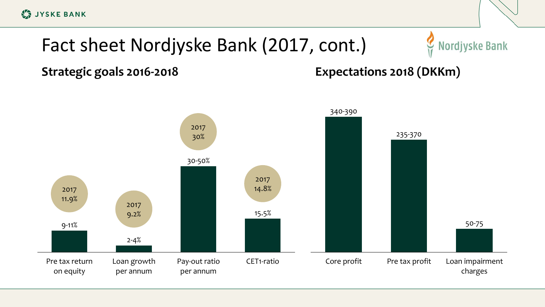**LA JYSKE BANK** 

# Fact sheet Nordjyske Bank (2017, cont.)



**Strategic goals 2016-2018**

**Expectations 2018 (DKKm)**